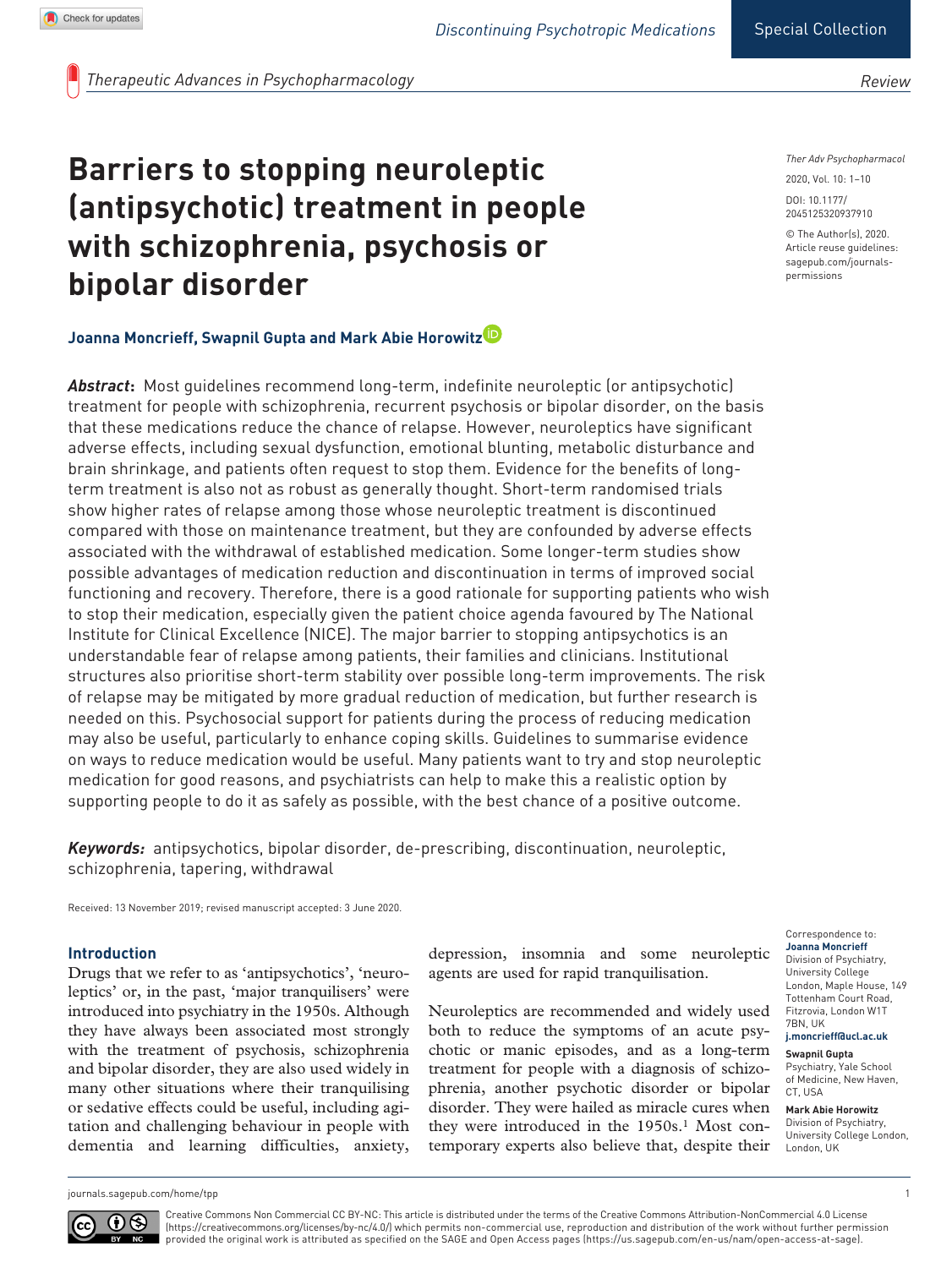*Therapeutic Advances in Psychopharmacology*

# **Barriers to stopping neuroleptic (antipsychotic) treatment in people with schizophrenia, psychosis or bipolar disorder**

# **Joanna Moncrieff, Swapnil Gupta and Mark Abie Horowitz**

*Abstract***:** Most guidelines recommend long-term, indefinite neuroleptic (or antipsychotic) treatment for people with schizophrenia, recurrent psychosis or bipolar disorder, on the basis that these medications reduce the chance of relapse. However, neuroleptics have significant adverse effects, including sexual dysfunction, emotional blunting, metabolic disturbance and brain shrinkage, and patients often request to stop them. Evidence for the benefits of longterm treatment is also not as robust as generally thought. Short-term randomised trials show higher rates of relapse among those whose neuroleptic treatment is discontinued compared with those on maintenance treatment, but they are confounded by adverse effects associated with the withdrawal of established medication. Some longer-term studies show possible advantages of medication reduction and discontinuation in terms of improved social functioning and recovery. Therefore, there is a good rationale for supporting patients who wish to stop their medication, especially given the patient choice agenda favoured by The National Institute for Clinical Excellence (NICE). The major barrier to stopping antipsychotics is an understandable fear of relapse among patients, their families and clinicians. Institutional structures also prioritise short-term stability over possible long-term improvements. The risk of relapse may be mitigated by more gradual reduction of medication, but further research is needed on this. Psychosocial support for patients during the process of reducing medication may also be useful, particularly to enhance coping skills. Guidelines to summarise evidence on ways to reduce medication would be useful. Many patients want to try and stop neuroleptic medication for good reasons, and psychiatrists can help to make this a realistic option by supporting people to do it as safely as possible, with the best chance of a positive outcome.

*Keywords:* antipsychotics, bipolar disorder, de-prescribing, discontinuation, neuroleptic, schizophrenia, tapering, withdrawal

Received: 13 November 2019; revised manuscript accepted: 3 June 2020.

#### **Introduction**

Drugs that we refer to as 'antipsychotics', 'neuroleptics' or, in the past, 'major tranquilisers' were introduced into psychiatry in the 1950s. Although they have always been associated most strongly with the treatment of psychosis, schizophrenia and bipolar disorder, they are also used widely in many other situations where their tranquilising or sedative effects could be useful, including agitation and challenging behaviour in people with dementia and learning difficulties, anxiety,

depression, insomnia and some neuroleptic agents are used for rapid tranquilisation.

Neuroleptics are recommended and widely used both to reduce the symptoms of an acute psychotic or manic episodes, and as a long-term treatment for people with a diagnosis of schizophrenia, another psychotic disorder or bipolar disorder. They were hailed as miracle cures when they were introduced in the 1950s.<sup>1</sup> Most contemporary experts also believe that, despite their

#### *Ther Adv Psychopharmacol*

*Review*

DOI: 10.1177/ https://doi.org/10.1177/2045125320937910 2045125320937910 2020, Vol. 10: 1–10

© The Author(s), 2020. Article reuse guidelines: [sagepub.com/journals](https://uk.sagepub.com/en-gb/journals-permissions)[permissions](https://uk.sagepub.com/en-gb/journals-permissions)

Correspondence to: **Joanna Moncrieff** Division of Psychiatry, University College London, Maple House, 149 Tottenham Court Road, Fitzrovia, London W1T 7BN, UK

**j.moncrieff@ucl.ac.uk**

**Swapnil Gupta** Psychiatry, Yale School of Medicine, New Haven, CT, USA

**Mark Abie Horowitz** Division of Psychiatry, University College London, London, UK

[journals.sagepub.com/home/tpp](https://journals.sagepub.com/home/tpp) 1



Creative Commons Non Commercial CC BY-NC: This article is distributed under the terms of the Creative Commons Attribution-NonCommercial 4.0 License (https://creativecommons.org/licenses/by-nc/4.0/) which permits non-commercial use, reproduction and distribution of the work without further permission provided the original work is attributed as specified on the SAGE and Open Access pages (https://us.sagepub.com/en-us/nam/open-access-at-sage).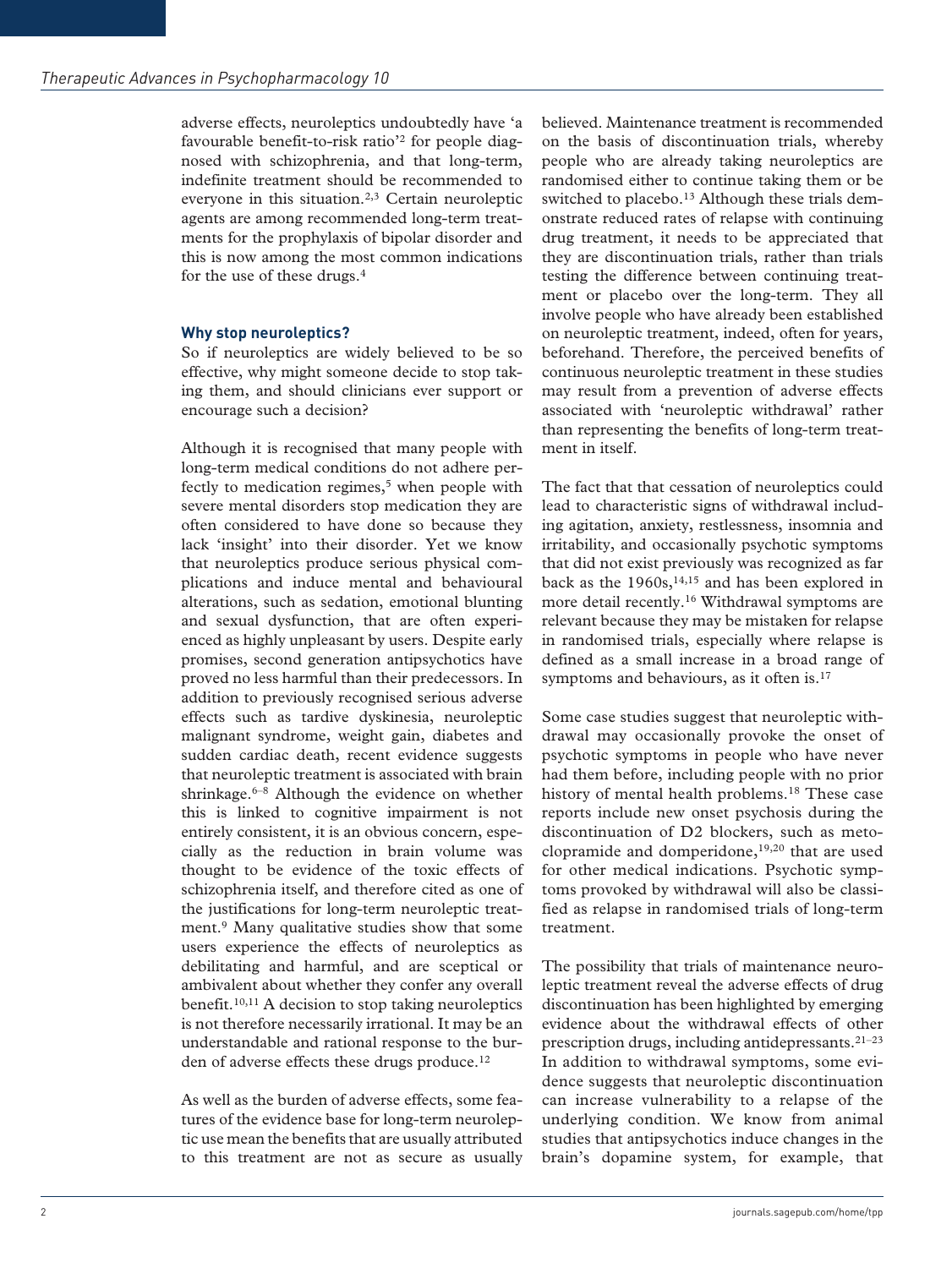adverse effects, neuroleptics undoubtedly have 'a favourable benefit-to-risk ratio'2 for people diagnosed with schizophrenia, and that long-term, indefinite treatment should be recommended to everyone in this situation.2,3 Certain neuroleptic agents are among recommended long-term treatments for the prophylaxis of bipolar disorder and this is now among the most common indications for the use of these drugs.4

#### **Why stop neuroleptics?**

So if neuroleptics are widely believed to be so effective, why might someone decide to stop taking them, and should clinicians ever support or encourage such a decision?

Although it is recognised that many people with long-term medical conditions do not adhere perfectly to medication regimes, $5$  when people with severe mental disorders stop medication they are often considered to have done so because they lack 'insight' into their disorder. Yet we know that neuroleptics produce serious physical complications and induce mental and behavioural alterations, such as sedation, emotional blunting and sexual dysfunction, that are often experienced as highly unpleasant by users. Despite early promises, second generation antipsychotics have proved no less harmful than their predecessors. In addition to previously recognised serious adverse effects such as tardive dyskinesia, neuroleptic malignant syndrome, weight gain, diabetes and sudden cardiac death, recent evidence suggests that neuroleptic treatment is associated with brain shrinkage.<sup>6–8</sup> Although the evidence on whether this is linked to cognitive impairment is not entirely consistent, it is an obvious concern, especially as the reduction in brain volume was thought to be evidence of the toxic effects of schizophrenia itself, and therefore cited as one of the justifications for long-term neuroleptic treatment.9 Many qualitative studies show that some users experience the effects of neuroleptics as debilitating and harmful, and are sceptical or ambivalent about whether they confer any overall benefit.<sup>10,11</sup> A decision to stop taking neuroleptics is not therefore necessarily irrational. It may be an understandable and rational response to the burden of adverse effects these drugs produce.<sup>12</sup>

As well as the burden of adverse effects, some features of the evidence base for long-term neuroleptic use mean the benefits that are usually attributed to this treatment are not as secure as usually believed. Maintenance treatment is recommended on the basis of discontinuation trials, whereby people who are already taking neuroleptics are randomised either to continue taking them or be switched to placebo.<sup>13</sup> Although these trials demonstrate reduced rates of relapse with continuing drug treatment, it needs to be appreciated that they are discontinuation trials, rather than trials testing the difference between continuing treatment or placebo over the long-term. They all involve people who have already been established on neuroleptic treatment, indeed, often for years, beforehand. Therefore, the perceived benefits of continuous neuroleptic treatment in these studies may result from a prevention of adverse effects associated with 'neuroleptic withdrawal' rather than representing the benefits of long-term treatment in itself.

The fact that that cessation of neuroleptics could lead to characteristic signs of withdrawal including agitation, anxiety, restlessness, insomnia and irritability, and occasionally psychotic symptoms that did not exist previously was recognized as far back as the  $1960s$ ,<sup>14,15</sup> and has been explored in more detail recently.16 Withdrawal symptoms are relevant because they may be mistaken for relapse in randomised trials, especially where relapse is defined as a small increase in a broad range of symptoms and behaviours, as it often is.<sup>17</sup>

Some case studies suggest that neuroleptic withdrawal may occasionally provoke the onset of psychotic symptoms in people who have never had them before, including people with no prior history of mental health problems.<sup>18</sup> These case reports include new onset psychosis during the discontinuation of D2 blockers, such as metoclopramide and domperidone,<sup>19,20</sup> that are used for other medical indications. Psychotic symptoms provoked by withdrawal will also be classified as relapse in randomised trials of long-term treatment.

The possibility that trials of maintenance neuroleptic treatment reveal the adverse effects of drug discontinuation has been highlighted by emerging evidence about the withdrawal effects of other prescription drugs, including antidepressants.21–23 In addition to withdrawal symptoms, some evidence suggests that neuroleptic discontinuation can increase vulnerability to a relapse of the underlying condition. We know from animal studies that antipsychotics induce changes in the brain's dopamine system, for example, that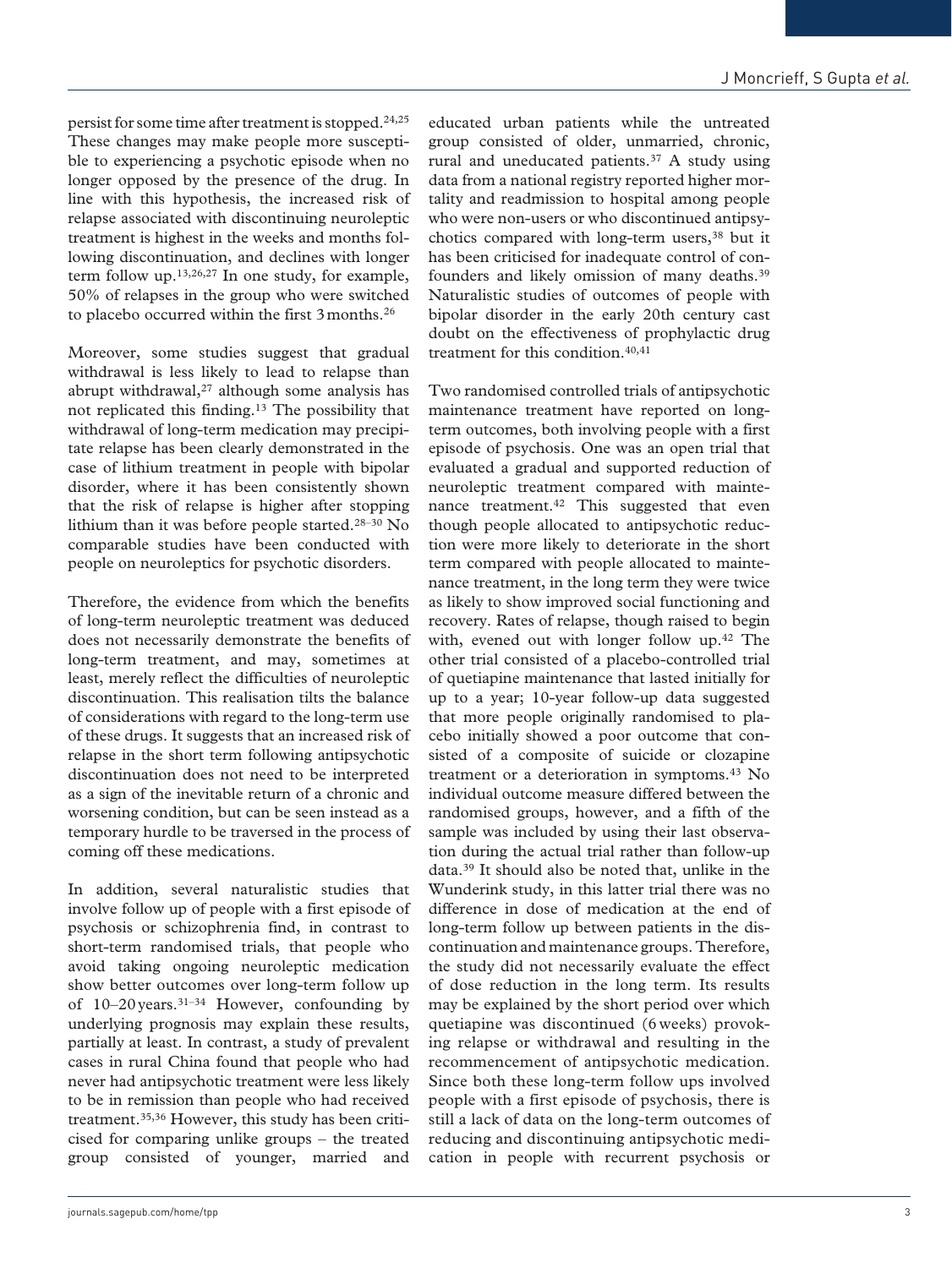persist for some time after treatment is stopped.24,25 These changes may make people more susceptible to experiencing a psychotic episode when no longer opposed by the presence of the drug. In line with this hypothesis, the increased risk of relapse associated with discontinuing neuroleptic treatment is highest in the weeks and months following discontinuation, and declines with longer term follow up.13,26,27 In one study, for example, 50% of relapses in the group who were switched to placebo occurred within the first 3months.26

Moreover, some studies suggest that gradual withdrawal is less likely to lead to relapse than abrupt withdrawal, $27$  although some analysis has not replicated this finding.13 The possibility that withdrawal of long-term medication may precipitate relapse has been clearly demonstrated in the case of lithium treatment in people with bipolar disorder, where it has been consistently shown that the risk of relapse is higher after stopping lithium than it was before people started.28–30 No comparable studies have been conducted with people on neuroleptics for psychotic disorders.

Therefore, the evidence from which the benefits of long-term neuroleptic treatment was deduced does not necessarily demonstrate the benefits of long-term treatment, and may, sometimes at least, merely reflect the difficulties of neuroleptic discontinuation. This realisation tilts the balance of considerations with regard to the long-term use of these drugs. It suggests that an increased risk of relapse in the short term following antipsychotic discontinuation does not need to be interpreted as a sign of the inevitable return of a chronic and worsening condition, but can be seen instead as a temporary hurdle to be traversed in the process of coming off these medications.

In addition, several naturalistic studies that involve follow up of people with a first episode of psychosis or schizophrenia find, in contrast to short-term randomised trials, that people who avoid taking ongoing neuroleptic medication show better outcomes over long-term follow up of 10–20years.31–34 However, confounding by underlying prognosis may explain these results, partially at least. In contrast, a study of prevalent cases in rural China found that people who had never had antipsychotic treatment were less likely to be in remission than people who had received treatment.35,36 However, this study has been criticised for comparing unlike groups – the treated group consisted of younger, married and

educated urban patients while the untreated group consisted of older, unmarried, chronic, rural and uneducated patients.<sup>37</sup> A study using data from a national registry reported higher mortality and readmission to hospital among people who were non-users or who discontinued antipsychotics compared with long-term users,<sup>38</sup> but it has been criticised for inadequate control of confounders and likely omission of many deaths.39 Naturalistic studies of outcomes of people with bipolar disorder in the early 20th century cast doubt on the effectiveness of prophylactic drug treatment for this condition.40,41

Two randomised controlled trials of antipsychotic maintenance treatment have reported on longterm outcomes, both involving people with a first episode of psychosis. One was an open trial that evaluated a gradual and supported reduction of neuroleptic treatment compared with maintenance treatment.<sup>42</sup> This suggested that even though people allocated to antipsychotic reduction were more likely to deteriorate in the short term compared with people allocated to maintenance treatment, in the long term they were twice as likely to show improved social functioning and recovery. Rates of relapse, though raised to begin with, evened out with longer follow up.<sup>42</sup> The other trial consisted of a placebo-controlled trial of quetiapine maintenance that lasted initially for up to a year; 10-year follow-up data suggested that more people originally randomised to placebo initially showed a poor outcome that consisted of a composite of suicide or clozapine treatment or a deterioration in symptoms.43 No individual outcome measure differed between the randomised groups, however, and a fifth of the sample was included by using their last observation during the actual trial rather than follow-up data.39 It should also be noted that, unlike in the Wunderink study, in this latter trial there was no difference in dose of medication at the end of long-term follow up between patients in the discontinuation and maintenance groups. Therefore, the study did not necessarily evaluate the effect of dose reduction in the long term. Its results may be explained by the short period over which quetiapine was discontinued (6 weeks) provoking relapse or withdrawal and resulting in the recommencement of antipsychotic medication. Since both these long-term follow ups involved people with a first episode of psychosis, there is still a lack of data on the long-term outcomes of reducing and discontinuing antipsychotic medication in people with recurrent psychosis or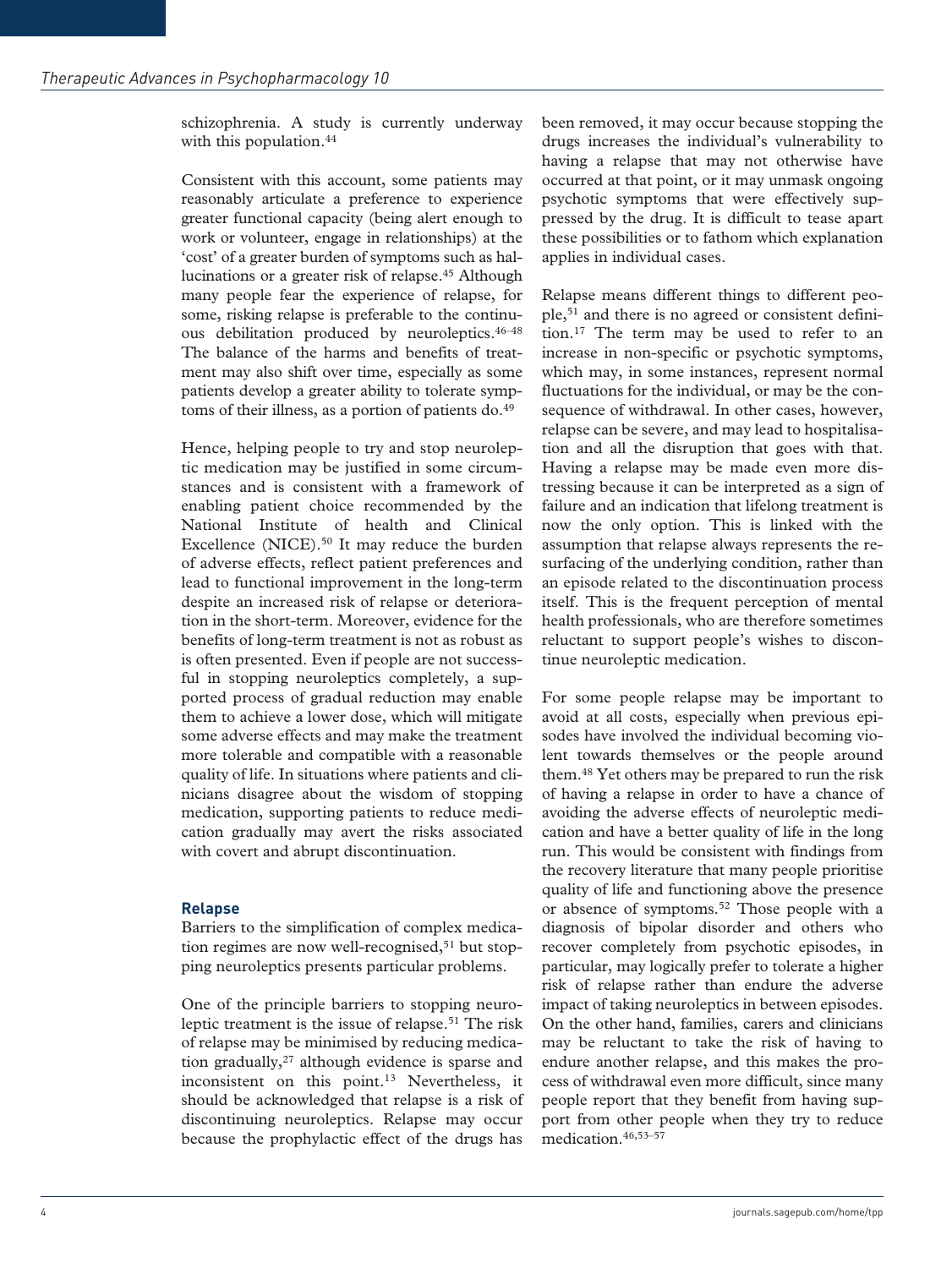schizophrenia. A study is currently underway with this population.<sup>44</sup>

Consistent with this account, some patients may reasonably articulate a preference to experience greater functional capacity (being alert enough to work or volunteer, engage in relationships) at the 'cost' of a greater burden of symptoms such as hallucinations or a greater risk of relapse.<sup>45</sup> Although many people fear the experience of relapse, for some, risking relapse is preferable to the continuous debilitation produced by neuroleptics.46–48 The balance of the harms and benefits of treatment may also shift over time, especially as some patients develop a greater ability to tolerate symptoms of their illness, as a portion of patients do.<sup>49</sup>

Hence, helping people to try and stop neuroleptic medication may be justified in some circumstances and is consistent with a framework of enabling patient choice recommended by the National Institute of health and Clinical Excellence (NICE).<sup>50</sup> It may reduce the burden of adverse effects, reflect patient preferences and lead to functional improvement in the long-term despite an increased risk of relapse or deterioration in the short-term. Moreover, evidence for the benefits of long-term treatment is not as robust as is often presented. Even if people are not successful in stopping neuroleptics completely, a supported process of gradual reduction may enable them to achieve a lower dose, which will mitigate some adverse effects and may make the treatment more tolerable and compatible with a reasonable quality of life. In situations where patients and clinicians disagree about the wisdom of stopping medication, supporting patients to reduce medication gradually may avert the risks associated with covert and abrupt discontinuation.

## **Relapse**

Barriers to the simplification of complex medication regimes are now well-recognised, $51$  but stopping neuroleptics presents particular problems.

One of the principle barriers to stopping neuroleptic treatment is the issue of relapse.<sup>51</sup> The risk of relapse may be minimised by reducing medication gradually, $27$  although evidence is sparse and inconsistent on this point.<sup>13</sup> Nevertheless, it should be acknowledged that relapse is a risk of discontinuing neuroleptics. Relapse may occur because the prophylactic effect of the drugs has

been removed, it may occur because stopping the drugs increases the individual's vulnerability to having a relapse that may not otherwise have occurred at that point, or it may unmask ongoing psychotic symptoms that were effectively suppressed by the drug. It is difficult to tease apart these possibilities or to fathom which explanation applies in individual cases.

Relapse means different things to different people,51 and there is no agreed or consistent definition.17 The term may be used to refer to an increase in non-specific or psychotic symptoms, which may, in some instances, represent normal fluctuations for the individual, or may be the consequence of withdrawal. In other cases, however, relapse can be severe, and may lead to hospitalisation and all the disruption that goes with that. Having a relapse may be made even more distressing because it can be interpreted as a sign of failure and an indication that lifelong treatment is now the only option. This is linked with the assumption that relapse always represents the resurfacing of the underlying condition, rather than an episode related to the discontinuation process itself. This is the frequent perception of mental health professionals, who are therefore sometimes reluctant to support people's wishes to discontinue neuroleptic medication.

For some people relapse may be important to avoid at all costs, especially when previous episodes have involved the individual becoming violent towards themselves or the people around them.48 Yet others may be prepared to run the risk of having a relapse in order to have a chance of avoiding the adverse effects of neuroleptic medication and have a better quality of life in the long run. This would be consistent with findings from the recovery literature that many people prioritise quality of life and functioning above the presence or absence of symptoms.52 Those people with a diagnosis of bipolar disorder and others who recover completely from psychotic episodes, in particular, may logically prefer to tolerate a higher risk of relapse rather than endure the adverse impact of taking neuroleptics in between episodes. On the other hand, families, carers and clinicians may be reluctant to take the risk of having to endure another relapse, and this makes the process of withdrawal even more difficult, since many people report that they benefit from having support from other people when they try to reduce medication.46,53–57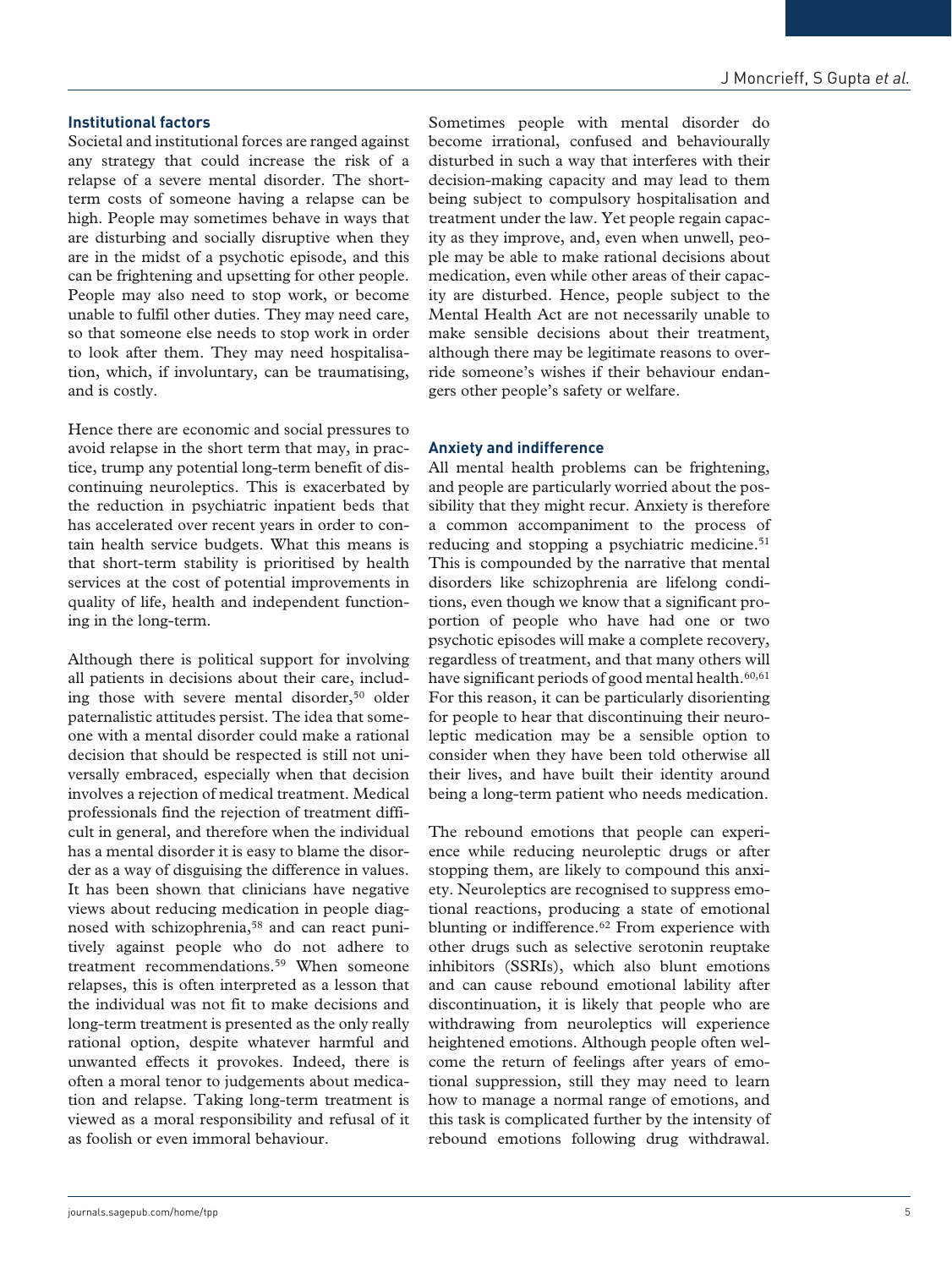# **Institutional factors**

Societal and institutional forces are ranged against any strategy that could increase the risk of a relapse of a severe mental disorder. The shortterm costs of someone having a relapse can be high. People may sometimes behave in ways that are disturbing and socially disruptive when they are in the midst of a psychotic episode, and this can be frightening and upsetting for other people. People may also need to stop work, or become unable to fulfil other duties. They may need care, so that someone else needs to stop work in order to look after them. They may need hospitalisation, which, if involuntary, can be traumatising, and is costly.

Hence there are economic and social pressures to avoid relapse in the short term that may, in practice, trump any potential long-term benefit of discontinuing neuroleptics. This is exacerbated by the reduction in psychiatric inpatient beds that has accelerated over recent years in order to contain health service budgets. What this means is that short-term stability is prioritised by health services at the cost of potential improvements in quality of life, health and independent functioning in the long-term.

Although there is political support for involving all patients in decisions about their care, including those with severe mental disorder,<sup>50</sup> older paternalistic attitudes persist. The idea that someone with a mental disorder could make a rational decision that should be respected is still not universally embraced, especially when that decision involves a rejection of medical treatment. Medical professionals find the rejection of treatment difficult in general, and therefore when the individual has a mental disorder it is easy to blame the disorder as a way of disguising the difference in values. It has been shown that clinicians have negative views about reducing medication in people diagnosed with schizophrenia,<sup>58</sup> and can react punitively against people who do not adhere to treatment recommendations.59 When someone relapses, this is often interpreted as a lesson that the individual was not fit to make decisions and long-term treatment is presented as the only really rational option, despite whatever harmful and unwanted effects it provokes. Indeed, there is often a moral tenor to judgements about medication and relapse. Taking long-term treatment is viewed as a moral responsibility and refusal of it as foolish or even immoral behaviour.

Sometimes people with mental disorder do become irrational, confused and behaviourally disturbed in such a way that interferes with their decision-making capacity and may lead to them being subject to compulsory hospitalisation and treatment under the law. Yet people regain capacity as they improve, and, even when unwell, people may be able to make rational decisions about medication, even while other areas of their capacity are disturbed. Hence, people subject to the Mental Health Act are not necessarily unable to make sensible decisions about their treatment, although there may be legitimate reasons to override someone's wishes if their behaviour endangers other people's safety or welfare.

### **Anxiety and indifference**

All mental health problems can be frightening, and people are particularly worried about the possibility that they might recur. Anxiety is therefore a common accompaniment to the process of reducing and stopping a psychiatric medicine.<sup>51</sup> This is compounded by the narrative that mental disorders like schizophrenia are lifelong conditions, even though we know that a significant proportion of people who have had one or two psychotic episodes will make a complete recovery, regardless of treatment, and that many others will have significant periods of good mental health.<sup>60,61</sup> For this reason, it can be particularly disorienting for people to hear that discontinuing their neuroleptic medication may be a sensible option to consider when they have been told otherwise all their lives, and have built their identity around being a long-term patient who needs medication.

The rebound emotions that people can experience while reducing neuroleptic drugs or after stopping them, are likely to compound this anxiety. Neuroleptics are recognised to suppress emotional reactions, producing a state of emotional blunting or indifference.<sup>62</sup> From experience with other drugs such as selective serotonin reuptake inhibitors (SSRIs), which also blunt emotions and can cause rebound emotional lability after discontinuation, it is likely that people who are withdrawing from neuroleptics will experience heightened emotions. Although people often welcome the return of feelings after years of emotional suppression, still they may need to learn how to manage a normal range of emotions, and this task is complicated further by the intensity of rebound emotions following drug withdrawal.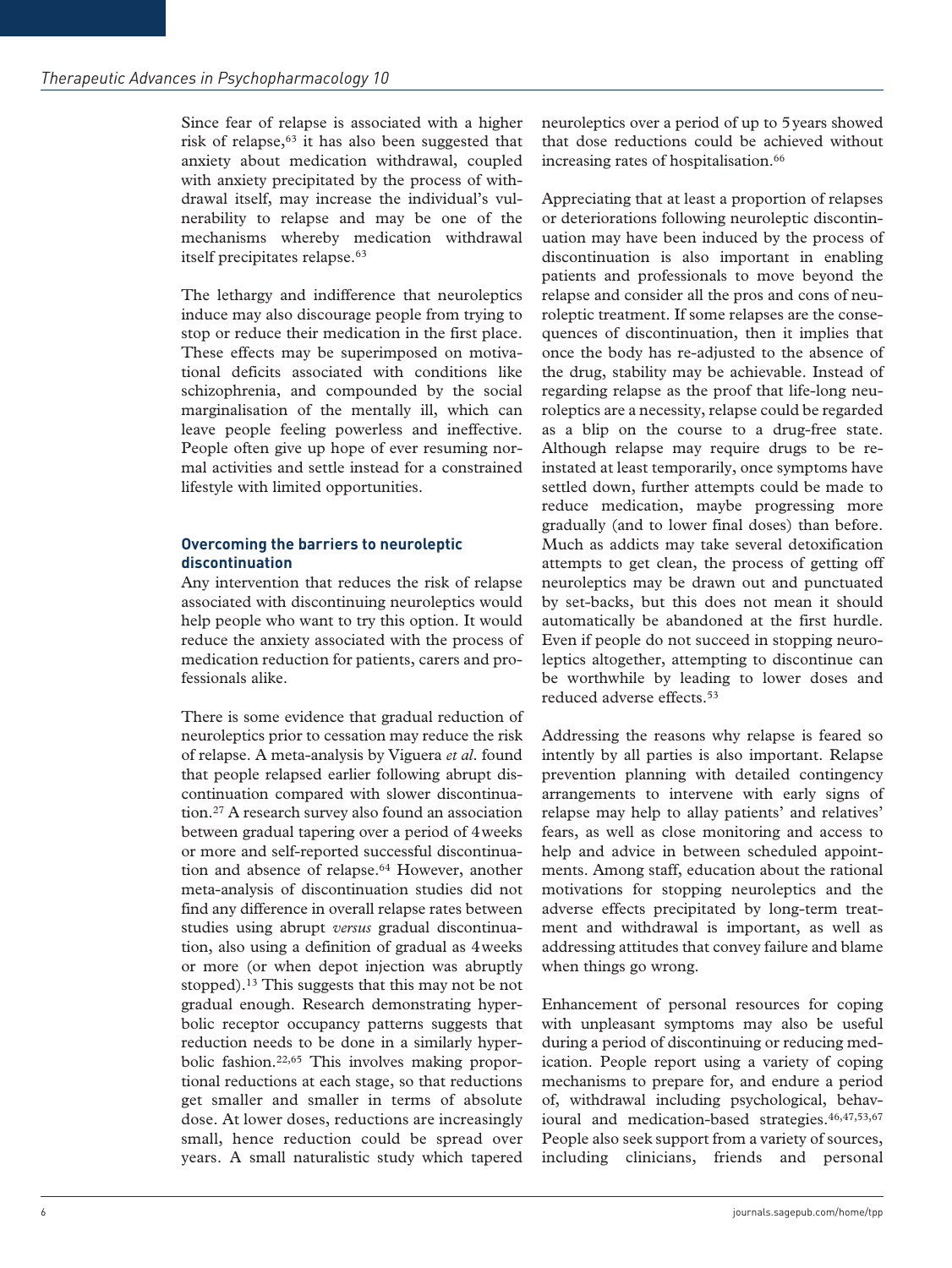Since fear of relapse is associated with a higher risk of relapse,<sup>63</sup> it has also been suggested that anxiety about medication withdrawal, coupled with anxiety precipitated by the process of withdrawal itself, may increase the individual's vulnerability to relapse and may be one of the mechanisms whereby medication withdrawal itself precipitates relapse.<sup>63</sup>

The lethargy and indifference that neuroleptics induce may also discourage people from trying to stop or reduce their medication in the first place. These effects may be superimposed on motivational deficits associated with conditions like schizophrenia, and compounded by the social marginalisation of the mentally ill, which can leave people feeling powerless and ineffective. People often give up hope of ever resuming normal activities and settle instead for a constrained lifestyle with limited opportunities.

## **Overcoming the barriers to neuroleptic discontinuation**

Any intervention that reduces the risk of relapse associated with discontinuing neuroleptics would help people who want to try this option. It would reduce the anxiety associated with the process of medication reduction for patients, carers and professionals alike.

There is some evidence that gradual reduction of neuroleptics prior to cessation may reduce the risk of relapse. A meta-analysis by Viguera *et al*. found that people relapsed earlier following abrupt discontinuation compared with slower discontinuation.27 A research survey also found an association between gradual tapering over a period of 4weeks or more and self-reported successful discontinuation and absence of relapse.64 However, another meta-analysis of discontinuation studies did not find any difference in overall relapse rates between studies using abrupt *versus* gradual discontinuation, also using a definition of gradual as 4weeks or more (or when depot injection was abruptly stopped).13 This suggests that this may not be not gradual enough. Research demonstrating hyperbolic receptor occupancy patterns suggests that reduction needs to be done in a similarly hyperbolic fashion.22,65 This involves making proportional reductions at each stage, so that reductions get smaller and smaller in terms of absolute dose. At lower doses, reductions are increasingly small, hence reduction could be spread over years. A small naturalistic study which tapered

neuroleptics over a period of up to 5years showed that dose reductions could be achieved without increasing rates of hospitalisation.<sup>66</sup>

Appreciating that at least a proportion of relapses or deteriorations following neuroleptic discontinuation may have been induced by the process of discontinuation is also important in enabling patients and professionals to move beyond the relapse and consider all the pros and cons of neuroleptic treatment. If some relapses are the consequences of discontinuation, then it implies that once the body has re-adjusted to the absence of the drug, stability may be achievable. Instead of regarding relapse as the proof that life-long neuroleptics are a necessity, relapse could be regarded as a blip on the course to a drug-free state. Although relapse may require drugs to be reinstated at least temporarily, once symptoms have settled down, further attempts could be made to reduce medication, maybe progressing more gradually (and to lower final doses) than before. Much as addicts may take several detoxification attempts to get clean, the process of getting off neuroleptics may be drawn out and punctuated by set-backs, but this does not mean it should automatically be abandoned at the first hurdle. Even if people do not succeed in stopping neuroleptics altogether, attempting to discontinue can be worthwhile by leading to lower doses and reduced adverse effects.53

Addressing the reasons why relapse is feared so intently by all parties is also important. Relapse prevention planning with detailed contingency arrangements to intervene with early signs of relapse may help to allay patients' and relatives' fears, as well as close monitoring and access to help and advice in between scheduled appointments. Among staff, education about the rational motivations for stopping neuroleptics and the adverse effects precipitated by long-term treatment and withdrawal is important, as well as addressing attitudes that convey failure and blame when things go wrong.

Enhancement of personal resources for coping with unpleasant symptoms may also be useful during a period of discontinuing or reducing medication. People report using a variety of coping mechanisms to prepare for, and endure a period of, withdrawal including psychological, behavioural and medication-based strategies.  $46,47,53,67$ People also seek support from a variety of sources, including clinicians, friends and personal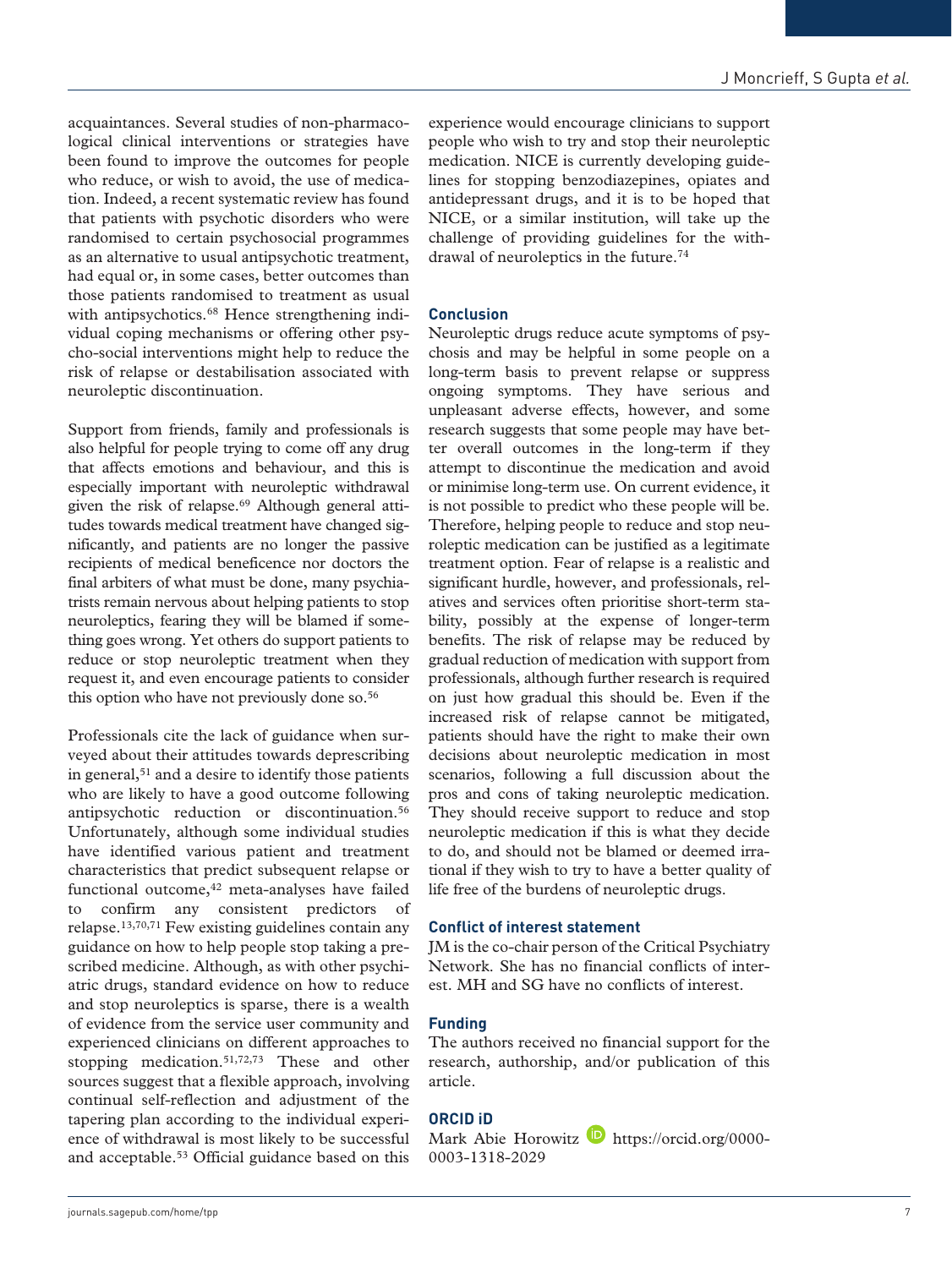acquaintances. Several studies of non-pharmacological clinical interventions or strategies have been found to improve the outcomes for people who reduce, or wish to avoid, the use of medication. Indeed, a recent systematic review has found that patients with psychotic disorders who were randomised to certain psychosocial programmes as an alternative to usual antipsychotic treatment, had equal or, in some cases, better outcomes than those patients randomised to treatment as usual with antipsychotics.<sup>68</sup> Hence strengthening individual coping mechanisms or offering other psycho-social interventions might help to reduce the risk of relapse or destabilisation associated with neuroleptic discontinuation.

Support from friends, family and professionals is also helpful for people trying to come off any drug that affects emotions and behaviour, and this is especially important with neuroleptic withdrawal given the risk of relapse.<sup>69</sup> Although general attitudes towards medical treatment have changed significantly, and patients are no longer the passive recipients of medical beneficence nor doctors the final arbiters of what must be done, many psychiatrists remain nervous about helping patients to stop neuroleptics, fearing they will be blamed if something goes wrong. Yet others do support patients to reduce or stop neuroleptic treatment when they request it, and even encourage patients to consider this option who have not previously done so.<sup>56</sup>

Professionals cite the lack of guidance when surveyed about their attitudes towards deprescribing in general,<sup>51</sup> and a desire to identify those patients who are likely to have a good outcome following antipsychotic reduction or discontinuation.56 Unfortunately, although some individual studies have identified various patient and treatment characteristics that predict subsequent relapse or functional outcome,<sup>42</sup> meta-analyses have failed to confirm any consistent predictors of relapse.13,70,71 Few existing guidelines contain any guidance on how to help people stop taking a prescribed medicine. Although, as with other psychiatric drugs, standard evidence on how to reduce and stop neuroleptics is sparse, there is a wealth of evidence from the service user community and experienced clinicians on different approaches to stopping medication.51,72,73 These and other sources suggest that a flexible approach, involving continual self-reflection and adjustment of the tapering plan according to the individual experience of withdrawal is most likely to be successful and acceptable.53 Official guidance based on this experience would encourage clinicians to support people who wish to try and stop their neuroleptic medication. NICE is currently developing guidelines for stopping benzodiazepines, opiates and antidepressant drugs, and it is to be hoped that NICE, or a similar institution, will take up the challenge of providing guidelines for the withdrawal of neuroleptics in the future.74

#### **Conclusion**

Neuroleptic drugs reduce acute symptoms of psychosis and may be helpful in some people on a long-term basis to prevent relapse or suppress ongoing symptoms. They have serious and unpleasant adverse effects, however, and some research suggests that some people may have better overall outcomes in the long-term if they attempt to discontinue the medication and avoid or minimise long-term use. On current evidence, it is not possible to predict who these people will be. Therefore, helping people to reduce and stop neuroleptic medication can be justified as a legitimate treatment option. Fear of relapse is a realistic and significant hurdle, however, and professionals, relatives and services often prioritise short-term stability, possibly at the expense of longer-term benefits. The risk of relapse may be reduced by gradual reduction of medication with support from professionals, although further research is required on just how gradual this should be. Even if the increased risk of relapse cannot be mitigated, patients should have the right to make their own decisions about neuroleptic medication in most scenarios, following a full discussion about the pros and cons of taking neuroleptic medication. They should receive support to reduce and stop neuroleptic medication if this is what they decide to do, and should not be blamed or deemed irrational if they wish to try to have a better quality of life free of the burdens of neuroleptic drugs.

#### **Conflict of interest statement**

JM is the co-chair person of the Critical Psychiatry Network. She has no financial conflicts of interest. MH and SG have no conflicts of interest.

#### **Funding**

The authors received no financial support for the research, authorship, and/or publication of this article.

### **ORCID iD**

Mark Abie Horowitz  $\blacksquare$  https://orcid.org/0000-0003-1318-2029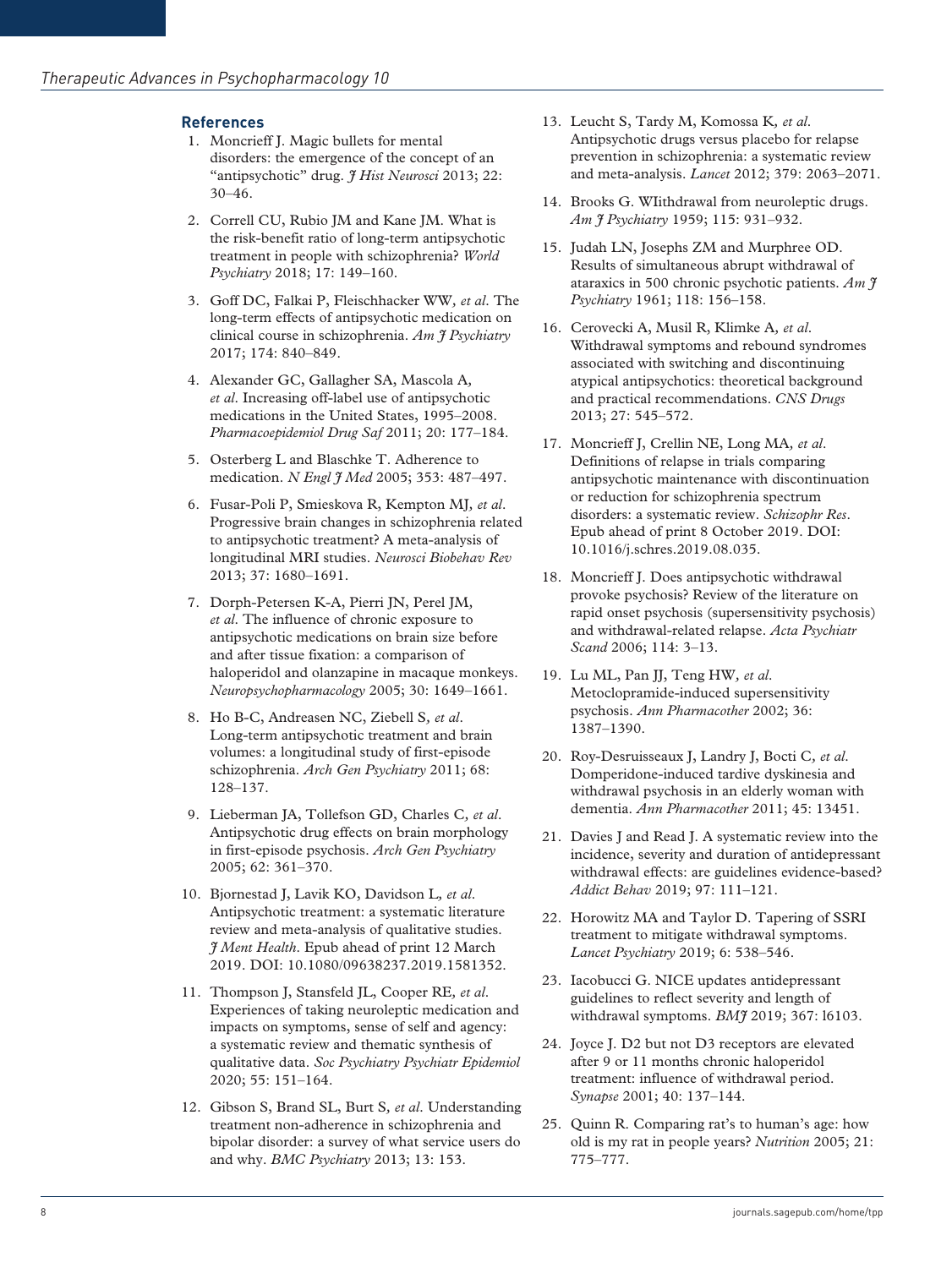# **References**

- 1. Moncrieff J. Magic bullets for mental disorders: the emergence of the concept of an "antipsychotic" drug. *J Hist Neurosci* 2013; 22: 30–46.
- 2. Correll CU, Rubio JM and Kane JM. What is the risk-benefit ratio of long-term antipsychotic treatment in people with schizophrenia? *World Psychiatry* 2018; 17: 149–160.
- 3. Goff DC, Falkai P, Fleischhacker WW*, et al*. The long-term effects of antipsychotic medication on clinical course in schizophrenia. *Am J Psychiatry* 2017; 174: 840–849.
- 4. Alexander GC, Gallagher SA, Mascola A*, et al*. Increasing off-label use of antipsychotic medications in the United States, 1995–2008. *Pharmacoepidemiol Drug Saf* 2011; 20: 177–184.
- 5. Osterberg L and Blaschke T. Adherence to medication. *N Engl J Med* 2005; 353: 487–497.
- 6. Fusar-Poli P, Smieskova R, Kempton MJ*, et al*. Progressive brain changes in schizophrenia related to antipsychotic treatment? A meta-analysis of longitudinal MRI studies. *Neurosci Biobehav Rev* 2013; 37: 1680–1691.
- 7. Dorph-Petersen K-A, Pierri JN, Perel JM*, et al*. The influence of chronic exposure to antipsychotic medications on brain size before and after tissue fixation: a comparison of haloperidol and olanzapine in macaque monkeys. *Neuropsychopharmacology* 2005; 30: 1649–1661.
- 8. Ho B-C, Andreasen NC, Ziebell S*, et al*. Long-term antipsychotic treatment and brain volumes: a longitudinal study of first-episode schizophrenia. *Arch Gen Psychiatry* 2011; 68: 128–137.
- 9. Lieberman JA, Tollefson GD, Charles C*, et al*. Antipsychotic drug effects on brain morphology in first-episode psychosis. *Arch Gen Psychiatry* 2005; 62: 361–370.
- 10. Bjornestad J, Lavik KO, Davidson L*, et al*. Antipsychotic treatment: a systematic literature review and meta-analysis of qualitative studies. *J Ment Health*. Epub ahead of print 12 March 2019. DOI: 10.1080/09638237.2019.1581352.
- 11. Thompson J, Stansfeld JL, Cooper RE*, et al*. Experiences of taking neuroleptic medication and impacts on symptoms, sense of self and agency: a systematic review and thematic synthesis of qualitative data. *Soc Psychiatry Psychiatr Epidemiol* 2020; 55: 151–164.
- 12. Gibson S, Brand SL, Burt S*, et al*. Understanding treatment non-adherence in schizophrenia and bipolar disorder: a survey of what service users do and why. *BMC Psychiatry* 2013; 13: 153.
- 13. Leucht S, Tardy M, Komossa K*, et al*. Antipsychotic drugs versus placebo for relapse prevention in schizophrenia: a systematic review and meta-analysis. *Lancet* 2012; 379: 2063–2071.
- 14. Brooks G. WIithdrawal from neuroleptic drugs. *Am J Psychiatry* 1959; 115: 931–932.
- 15. Judah LN, Josephs ZM and Murphree OD. Results of simultaneous abrupt withdrawal of ataraxics in 500 chronic psychotic patients. *Am J Psychiatry* 1961; 118: 156–158.
- 16. Cerovecki A, Musil R, Klimke A*, et al*. Withdrawal symptoms and rebound syndromes associated with switching and discontinuing atypical antipsychotics: theoretical background and practical recommendations. *CNS Drugs* 2013; 27: 545–572.
- 17. Moncrieff J, Crellin NE, Long MA*, et al*. Definitions of relapse in trials comparing antipsychotic maintenance with discontinuation or reduction for schizophrenia spectrum disorders: a systematic review. *Schizophr Res*. Epub ahead of print 8 October 2019. DOI: 10.1016/j.schres.2019.08.035.
- 18. Moncrieff J. Does antipsychotic withdrawal provoke psychosis? Review of the literature on rapid onset psychosis (supersensitivity psychosis) and withdrawal-related relapse. *Acta Psychiatr Scand* 2006; 114: 3–13.
- 19. Lu ML, Pan JJ, Teng HW*, et al*. Metoclopramide-induced supersensitivity psychosis. *Ann Pharmacother* 2002; 36: 1387–1390.
- 20. Roy-Desruisseaux J, Landry J, Bocti C*, et al*. Domperidone-induced tardive dyskinesia and withdrawal psychosis in an elderly woman with dementia. *Ann Pharmacother* 2011; 45: 13451.
- 21. Davies J and Read J. A systematic review into the incidence, severity and duration of antidepressant withdrawal effects: are guidelines evidence-based? *Addict Behav* 2019; 97: 111–121.
- 22. Horowitz MA and Taylor D. Tapering of SSRI treatment to mitigate withdrawal symptoms. *Lancet Psychiatry* 2019; 6: 538–546.
- 23. Iacobucci G. NICE updates antidepressant guidelines to reflect severity and length of withdrawal symptoms. *BMJ* 2019; 367: l6103.
- 24. Joyce J. D2 but not D3 receptors are elevated after 9 or 11 months chronic haloperidol treatment: influence of withdrawal period. *Synapse* 2001; 40: 137–144.
- 25. Quinn R. Comparing rat's to human's age: how old is my rat in people years? *Nutrition* 2005; 21: 775–777.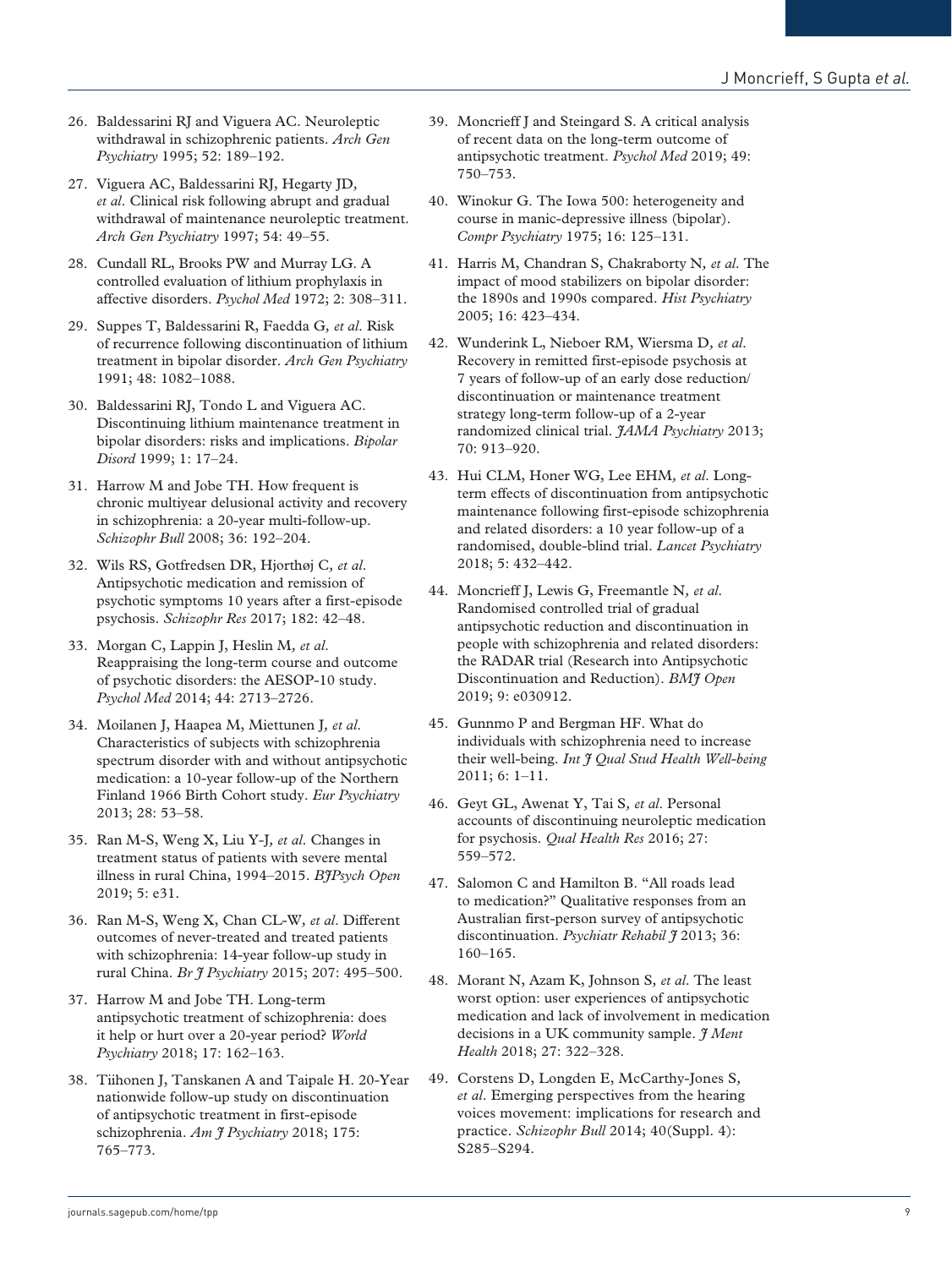- 26. Baldessarini RI and Viguera AC. Neuroleptic withdrawal in schizophrenic patients. *Arch Gen Psychiatry* 1995; 52: 189–192.
- 27. Viguera AC, Baldessarini RJ, Hegarty JD*, et al*. Clinical risk following abrupt and gradual withdrawal of maintenance neuroleptic treatment. *Arch Gen Psychiatry* 1997; 54: 49–55.
- 28. Cundall RL, Brooks PW and Murray LG. A controlled evaluation of lithium prophylaxis in affective disorders. *Psychol Med* 1972; 2: 308–311.
- 29. Suppes T, Baldessarini R, Faedda G*, et al*. Risk of recurrence following discontinuation of lithium treatment in bipolar disorder. *Arch Gen Psychiatry* 1991; 48: 1082–1088.
- 30. Baldessarini RJ, Tondo L and Viguera AC. Discontinuing lithium maintenance treatment in bipolar disorders: risks and implications. *Bipolar Disord* 1999; 1: 17–24.
- 31. Harrow M and Jobe TH. How frequent is chronic multiyear delusional activity and recovery in schizophrenia: a 20-year multi-follow-up. *Schizophr Bull* 2008; 36: 192–204.
- 32. Wils RS, Gotfredsen DR, Hjorthøj C*, et al*. Antipsychotic medication and remission of psychotic symptoms 10 years after a first-episode psychosis. *Schizophr Res* 2017; 182: 42–48.
- 33. Morgan C, Lappin J, Heslin M*, et al*. Reappraising the long-term course and outcome of psychotic disorders: the AESOP-10 study. *Psychol Med* 2014; 44: 2713–2726.
- 34. Moilanen J, Haapea M, Miettunen J*, et al*. Characteristics of subjects with schizophrenia spectrum disorder with and without antipsychotic medication: a 10-year follow-up of the Northern Finland 1966 Birth Cohort study. *Eur Psychiatry* 2013; 28: 53–58.
- 35. Ran M-S, Weng X, Liu Y-J*, et al*. Changes in treatment status of patients with severe mental illness in rural China, 1994–2015. *BJPsych Open* 2019; 5: e31.
- 36. Ran M-S, Weng X, Chan CL-W*, et al*. Different outcomes of never-treated and treated patients with schizophrenia: 14-year follow-up study in rural China. *Br J Psychiatry* 2015; 207: 495–500.
- 37. Harrow M and Jobe TH. Long-term antipsychotic treatment of schizophrenia: does it help or hurt over a 20-year period? *World Psychiatry* 2018; 17: 162–163.
- 38. Tiihonen J, Tanskanen A and Taipale H. 20-Year nationwide follow-up study on discontinuation of antipsychotic treatment in first-episode schizophrenia. *Am J Psychiatry* 2018; 175: 765–773.
- 39. Moncrieff J and Steingard S. A critical analysis of recent data on the long-term outcome of antipsychotic treatment. *Psychol Med* 2019; 49: 750–753.
- 40. Winokur G. The Iowa 500: heterogeneity and course in manic-depressive illness (bipolar). *Compr Psychiatry* 1975; 16: 125–131.
- 41. Harris M, Chandran S, Chakraborty N*, et al*. The impact of mood stabilizers on bipolar disorder: the 1890s and 1990s compared. *Hist Psychiatry* 2005; 16: 423–434.
- 42. Wunderink L, Nieboer RM, Wiersma D*, et al*. Recovery in remitted first-episode psychosis at 7 years of follow-up of an early dose reduction/ discontinuation or maintenance treatment strategy long-term follow-up of a 2-year randomized clinical trial. *JAMA Psychiatry* 2013; 70: 913–920.
- 43. Hui CLM, Honer WG, Lee EHM*, et al*. Longterm effects of discontinuation from antipsychotic maintenance following first-episode schizophrenia and related disorders: a 10 year follow-up of a randomised, double-blind trial. *Lancet Psychiatry* 2018; 5: 432–442.
- 44. Moncrieff J, Lewis G, Freemantle N*, et al*. Randomised controlled trial of gradual antipsychotic reduction and discontinuation in people with schizophrenia and related disorders: the RADAR trial (Research into Antipsychotic Discontinuation and Reduction). *BMJ Open* 2019; 9: e030912.
- 45. Gunnmo P and Bergman HF. What do individuals with schizophrenia need to increase their well-being. *Int J Qual Stud Health Well-being* 2011; 6: 1–11.
- 46. Geyt GL, Awenat Y, Tai S*, et al*. Personal accounts of discontinuing neuroleptic medication for psychosis. *Qual Health Res* 2016; 27: 559–572.
- 47. Salomon C and Hamilton B. "All roads lead to medication?" Qualitative responses from an Australian first-person survey of antipsychotic discontinuation. *Psychiatr Rehabil J* 2013; 36: 160–165.
- 48. Morant N, Azam K, Johnson S*, et al*. The least worst option: user experiences of antipsychotic medication and lack of involvement in medication decisions in a UK community sample. *J Ment Health* 2018; 27: 322–328.
- 49. Corstens D, Longden E, McCarthy-Jones S*, et al*. Emerging perspectives from the hearing voices movement: implications for research and practice. *Schizophr Bull* 2014; 40(Suppl. 4): S285–S294.